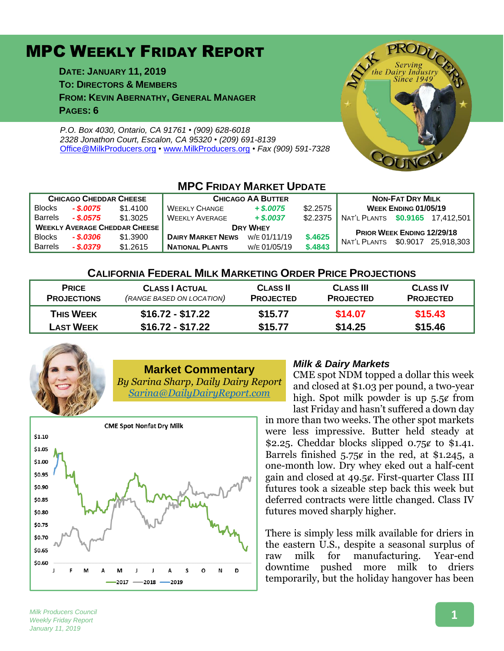## MPC WEEKLY FRIDAY REPORT

**DATE: JANUARY 11, 2019 TO: DIRECTORS & MEMBERS FROM: KEVIN ABERNATHY, GENERAL MANAGER PAGES: 6**

*P.O. Box 4030, Ontario, CA 91761 • (909) 628-6018 2328 Jonathon Court, Escalon, CA 95320 • (209) 691-8139* [Office@MilkProducers.org](mailto:office@milkproducers.org) *•* [www.MilkProducers.org](http://www.milkproducers.org/) *• Fax (909) 591-7328*



### **MPC FRIDAY MARKET UPDATE**

| <b>CHICAGO CHEDDAR CHEESE</b>        |             |          | <b>CHICAGO AA BUTTER</b> |              |          | <b>NON-FAT DRY MILK</b>          |          |            |
|--------------------------------------|-------------|----------|--------------------------|--------------|----------|----------------------------------|----------|------------|
| <b>Blocks</b>                        | $-$ \$.0075 | \$1,4100 | <b>WEEKLY CHANGE</b>     | $+$ \$,0075  | \$2.2575 | WEEK ENDING 01/05/19             |          |            |
| <b>Barrels</b>                       | - \$.0575   | \$1.3025 | <b>WEEKLY AVERAGE</b>    | $+$ \$,0037  | \$2.2375 | NAT'L PLANTS \$0.9165 17.412.501 |          |            |
| <b>WEEKLY AVERAGE CHEDDAR CHEESE</b> |             |          | <b>DRY WHEY</b>          |              |          | PRIOR WEEK ENDING 12/29/18       |          |            |
| <b>Blocks</b>                        | - \$.0306   | \$1.3900 | <b>DAIRY MARKET NEWS</b> | W/F 01/11/19 | \$.4625  | NAT'L PLANTS                     | \$0.9017 | 25.918.303 |
| <b>Barrels</b>                       | $-$ \$.0379 | \$1,2615 | <b>NATIONAL PLANTS</b>   | W/E 01/05/19 | \$.4843  |                                  |          |            |

#### **CALIFORNIA FEDERAL MILK MARKETING ORDER PRICE PROJECTIONS**

| <b>PRICE</b><br><b>PROJECTIONS</b> | <b>CLASS   ACTUAL</b><br>(RANGE BASED ON LOCATION) | <b>CLASS II</b><br><b>PROJECTED</b> | <b>CLASS III</b><br><b>PROJECTED</b> | <b>CLASS IV</b><br><b>PROJECTED</b> |
|------------------------------------|----------------------------------------------------|-------------------------------------|--------------------------------------|-------------------------------------|
| <b>THIS WEEK</b>                   | $$16.72 - $17.22$                                  | \$15.77                             | \$14.07                              | \$15.43                             |
| <b>LAST WEEK</b>                   | $$16.72 - $17.22$                                  | \$15.77                             | \$14.25                              | \$15.46                             |



# **Market Commentary**

*By Sarina Sharp, Daily Dairy Report [Sarina@DailyDairyReport.com](mailto:Sarina@DailyDairyReport.com)*



#### *Milk & Dairy Markets*

CME spot NDM topped a dollar this week and closed at \$1.03 per pound, a two-year high. Spot milk powder is up  $5.5¢$  from last Friday and hasn't suffered a down day

in more than two weeks. The other spot markets were less impressive. Butter held steady at \$2.25. Cheddar blocks slipped  $0.75¢$  to \$1.41. Barrels finished  $5.75¢$  in the red, at \$1.245, a one-month low. Dry whey eked out a half-cent gain and closed at 49.5¢. First-quarter Class III futures took a sizeable step back this week but deferred contracts were little changed. Class IV futures moved sharply higher.

There is simply less milk available for driers in the eastern U.S., despite a seasonal surplus of raw milk for manufacturing. Year-end downtime pushed more milk to driers temporarily, but the holiday hangover has been

#### *Milk Producers Council Weekly Friday Report January 11, 2019*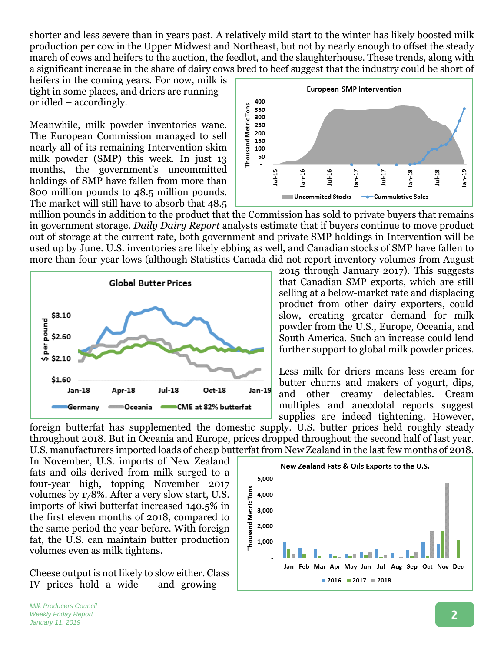shorter and less severe than in years past. A relatively mild start to the winter has likely boosted milk production per cow in the Upper Midwest and Northeast, but not by nearly enough to offset the steady march of cows and heifers to the auction, the feedlot, and the slaughterhouse. These trends, along with a significant increase in the share of dairy cows bred to beef suggest that the industry could be short of

heifers in the coming years. For now, milk is tight in some places, and driers are running – or idled – accordingly.

Meanwhile, milk powder inventories wane. The European Commission managed to sell nearly all of its remaining Intervention skim milk powder (SMP) this week. In just 13 months, the government's uncommitted holdings of SMP have fallen from more than 800 million pounds to 48.5 million pounds. The market will still have to absorb that 48.5



million pounds in addition to the product that the Commission has sold to private buyers that remains in government storage. *Daily Dairy Report* analysts estimate that if buyers continue to move product out of storage at the current rate, both government and private SMP holdings in Intervention will be used up by June. U.S. inventories are likely ebbing as well, and Canadian stocks of SMP have fallen to more than four-year lows (although Statistics Canada did not report inventory volumes from August



2015 through January 2017). This suggests that Canadian SMP exports, which are still selling at a below-market rate and displacing product from other dairy exporters, could slow, creating greater demand for milk powder from the U.S., Europe, Oceania, and South America. Such an increase could lend further support to global milk powder prices.

Less milk for driers means less cream for butter churns and makers of yogurt, dips, and other creamy delectables. Cream multiples and anecdotal reports suggest supplies are indeed tightening. However,

foreign butterfat has supplemented the domestic supply. U.S. butter prices held roughly steady throughout 2018. But in Oceania and Europe, prices dropped throughout the second half of last year. U.S. manufacturers imported loads of cheap butterfat from New Zealand in the last few months of 2018.

In November, U.S. imports of New Zealand fats and oils derived from milk surged to a four-year high, topping November 2017 volumes by 178%. After a very slow start, U.S. imports of kiwi butterfat increased 140.5% in the first eleven months of 2018, compared to the same period the year before. With foreign fat, the U.S. can maintain butter production volumes even as milk tightens.

Cheese output is not likely to slow either. Class IV prices hold a wide – and growing –

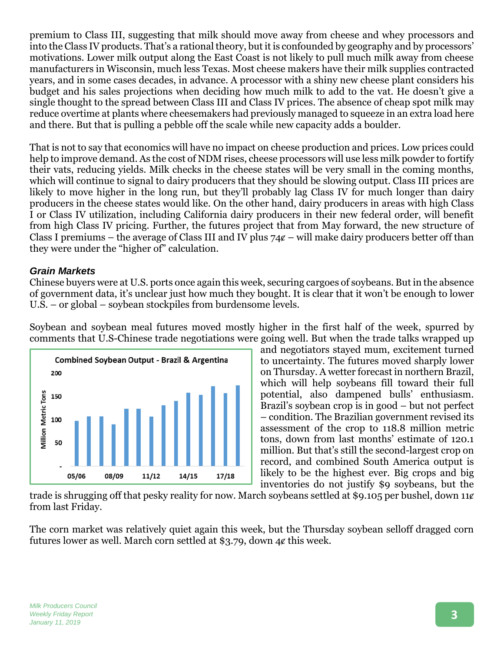premium to Class III, suggesting that milk should move away from cheese and whey processors and into the Class IV products. That's a rational theory, but it is confounded by geography and by processors' motivations. Lower milk output along the East Coast is not likely to pull much milk away from cheese manufacturers in Wisconsin, much less Texas. Most cheese makers have their milk supplies contracted years, and in some cases decades, in advance. A processor with a shiny new cheese plant considers his budget and his sales projections when deciding how much milk to add to the vat. He doesn't give a single thought to the spread between Class III and Class IV prices. The absence of cheap spot milk may reduce overtime at plants where cheesemakers had previously managed to squeeze in an extra load here and there. But that is pulling a pebble off the scale while new capacity adds a boulder.

That is not to say that economics will have no impact on cheese production and prices. Low prices could help to improve demand. As the cost of NDM rises, cheese processors will use less milk powder to fortify their vats, reducing yields. Milk checks in the cheese states will be very small in the coming months, which will continue to signal to dairy producers that they should be slowing output. Class III prices are likely to move higher in the long run, but they'll probably lag Class IV for much longer than dairy producers in the cheese states would like. On the other hand, dairy producers in areas with high Class I or Class IV utilization, including California dairy producers in their new federal order, will benefit from high Class IV pricing. Further, the futures project that from May forward, the new structure of Class I premiums – the average of Class III and IV plus  $74¢$  – will make dairy producers better off than they were under the "higher of" calculation.

#### *Grain Markets*

Chinese buyers were at U.S. ports once again this week, securing cargoes of soybeans. But in the absence of government data, it's unclear just how much they bought. It is clear that it won't be enough to lower U.S. – or global – soybean stockpiles from burdensome levels.

Soybean and soybean meal futures moved mostly higher in the first half of the week, spurred by comments that U.S-Chinese trade negotiations were going well. But when the trade talks wrapped up



and negotiators stayed mum, excitement turned to uncertainty. The futures moved sharply lower on Thursday. A wetter forecast in northern Brazil, which will help soybeans fill toward their full potential, also dampened bulls' enthusiasm. Brazil's soybean crop is in good – but not perfect – condition. The Brazilian government revised its assessment of the crop to 118.8 million metric tons, down from last months' estimate of 120.1 million. But that's still the second-largest crop on record, and combined South America output is likely to be the highest ever. Big crops and big inventories do not justify \$9 soybeans, but the

trade is shrugging off that pesky reality for now. March soybeans settled at \$9.105 per bushel, down 11¢ from last Friday.

The corn market was relatively quiet again this week, but the Thursday soybean selloff dragged corn futures lower as well. March corn settled at \$3.79, down 4¢ this week.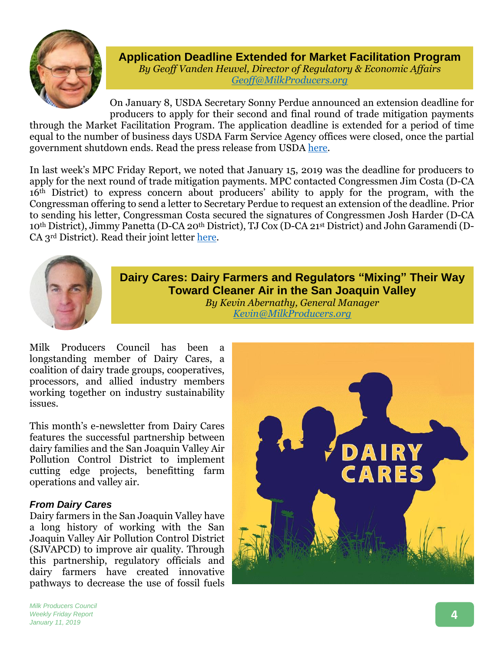

**Application Deadline Extended for Market Facilitation Program** *By Geoff Vanden Heuvel, Director of Regulatory & Economic Affairs [Geoff@MilkProducers.org](mailto:Geoff@MilkProducers.org)*

On January 8, USDA Secretary Sonny Perdue announced an extension deadline for producers to apply for their second and final round of trade mitigation payments through the Market Facilitation Program. The application deadline is extended for a period of time equal to the number of business days USDA Farm Service Agency offices were closed, once the partial government shutdown ends. Read the press release from USDA [here.](https://content.govdelivery.com/accounts/USDAOC/bulletins/226fd4d)

In last week's MPC Friday Report, we noted that January 15, 2019 was the deadline for producers to apply for the next round of trade mitigation payments. MPC contacted Congressmen Jim Costa (D-CA 16th District) to express concern about producers' ability to apply for the program, with the Congressman offering to send a letter to Secretary Perdue to request an extension of the deadline. Prior to sending his letter, Congressman Costa secured the signatures of Congressmen Josh Harder (D-CA 10th District), Jimmy Panetta (D-CA 20th District), TJ Cox (D-CA 21st District) and John Garamendi (D-CA 3rd District). Read their joint letter [here.](http://www.milkproducerscouncil.org/wp-content/uploads/Letter-to-Sec.-Perdue-MFP-Deadline-Extension-1-8-2019.pdf)



**Dairy Cares: Dairy Farmers and Regulators "Mixing" Their Way Toward Cleaner Air in the San Joaquin Valley** *By Kevin Abernathy, General Manager Kevin@MilkProducers.org*

Milk Producers Council has been a longstanding member of Dairy Cares, a coalition of dairy trade groups, cooperatives, processors, and allied industry members working together on industry sustainability issues.

This month's e-newsletter from Dairy Cares features the successful partnership between dairy families and the San Joaquin Valley Air Pollution Control District to implement cutting edge projects, benefitting farm operations and valley air.

#### *From Dairy Cares*

Dairy farmers in the San Joaquin Valley have a long history of working with the San Joaquin Valley Air Pollution Control District (SJVAPCD) to improve air quality. Through this partnership, regulatory officials and dairy farmers have created innovative pathways to decrease the use of fossil fuels



*Milk Producers Council Weekly Friday Report January 11, 2019*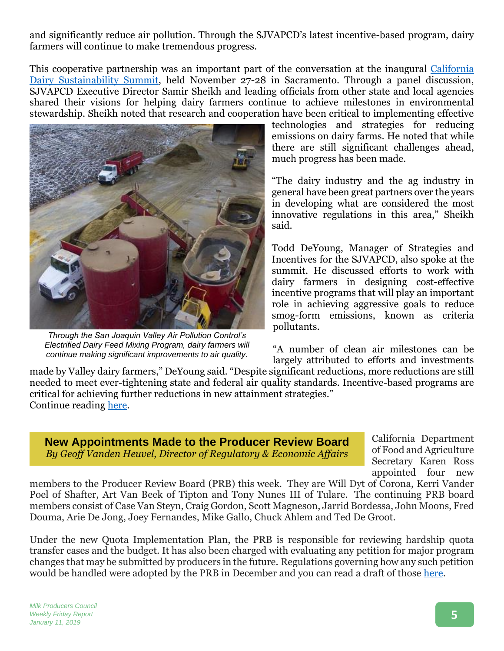and significantly reduce air pollution. Through the SJVAPCD's latest incentive-based program, dairy farmers will continue to make tremendous progress.

This cooperative partnership was an important part of the conversation at the inaugural [California](http://www.cadairysummit.com/)  [Dairy Sustainability Summit,](http://www.cadairysummit.com/) held November 27-28 in Sacramento. Through a panel discussion, SJVAPCD Executive Director Samir Sheikh and leading officials from other state and local agencies shared their visions for helping dairy farmers continue to achieve milestones in environmental stewardship. Sheikh noted that research and cooperation have been critical to implementing effective



*Through the San Joaquin Valley Air Pollution Control's Electrified Dairy Feed Mixing Program, dairy farmers will continue making significant improvements to air quality.*

technologies and strategies for reducing emissions on dairy farms. He noted that while there are still significant challenges ahead, much progress has been made.

"The dairy industry and the ag industry in general have been great partners over the years in developing what are considered the most innovative regulations in this area," Sheikh said.

Todd DeYoung, Manager of Strategies and Incentives for the SJVAPCD, also spoke at the summit. He discussed efforts to work with dairy farmers in designing cost-effective incentive programs that will play an important role in achieving aggressive goals to reduce smog-form emissions, known as criteria pollutants.

"A number of clean air milestones can be largely attributed to efforts and investments

made by Valley dairy farmers," DeYoung said. "Despite significant reductions, more reductions are still needed to meet ever-tightening state and federal air quality standards. Incentive-based programs are critical for achieving further reductions in new attainment strategies." Continue reading [here.](https://www.dairycares.com/e-news/dairy-farmers-and-regulators-mixing-their-way-toward-cleaner-air-in-the-san-joaquin-valley)

**New Appointments Made to the Producer Review Board** *By Geoff Vanden Heuvel, Director of Regulatory & Economic Affairs*

California Department of Food and Agriculture Secretary Karen Ross appointed four new

members to the Producer Review Board (PRB) this week. They are Will Dyt of Corona, Kerri Vander Poel of Shafter, Art Van Beek of Tipton and Tony Nunes III of Tulare. The continuing PRB board members consist of Case Van Steyn, Craig Gordon, Scott Magneson, Jarrid Bordessa, John Moons, Fred Douma, Arie De Jong, Joey Fernandes, Mike Gallo, Chuck Ahlem and Ted De Groot.

Under the new Quota Implementation Plan, the PRB is responsible for reviewing hardship quota transfer cases and the budget. It has also been charged with evaluating any petition for major program changes that may be submitted by producers in the future. Regulations governing how any such petition would be handled were adopted by the PRB in December and you can read a draft of those [here.](http://www.milkproducerscouncil.org/wp-content/uploads/procedures-for-a-petition-on-the-QIP-with-prb-input.pdf)